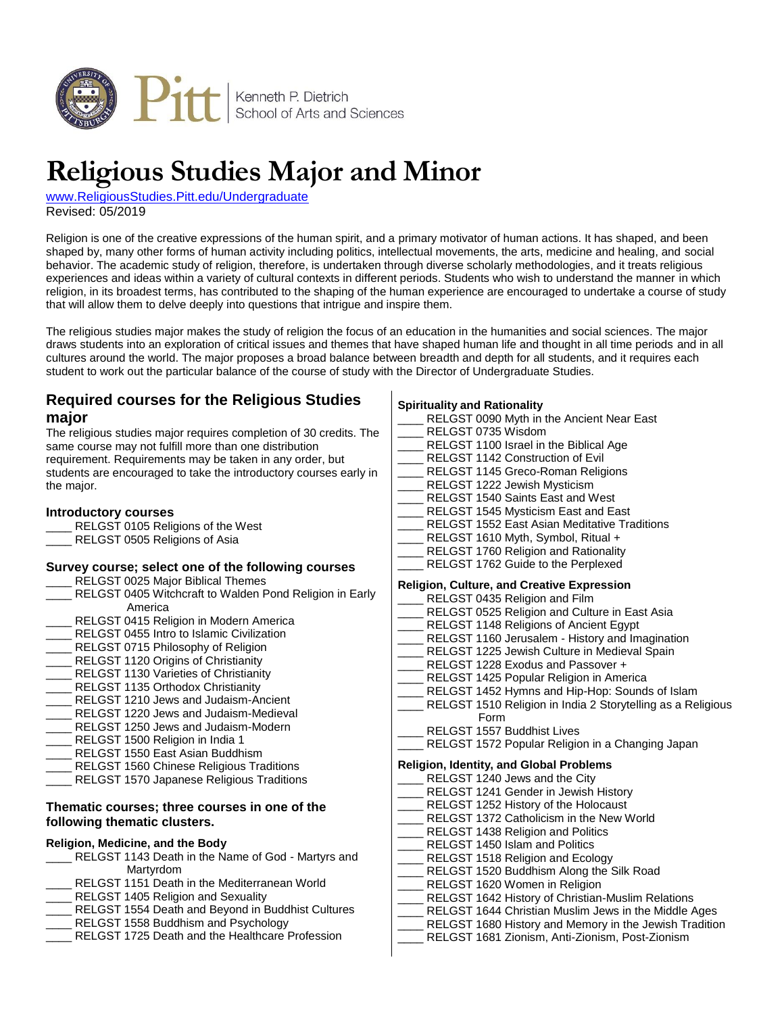

# **Religious Studies Major and Minor**

[www.ReligiousStudies.Pitt.edu/Undergraduate](http://www.religiousstudies.pitt.edu/undergraduate) Revised: 05/2019

Religion is one of the creative expressions of the human spirit, and a primary motivator of human actions. It has shaped, and been shaped by, many other forms of human activity including politics, intellectual movements, the arts, medicine and healing, and social behavior. The academic study of religion, therefore, is undertaken through diverse scholarly methodologies, and it treats religious experiences and ideas within a variety of cultural contexts in different periods. Students who wish to understand the manner in which religion, in its broadest terms, has contributed to the shaping of the human experience are encouraged to undertake a course of study that will allow them to delve deeply into questions that intrigue and inspire them.

The religious studies major makes the study of religion the focus of an education in the humanities and social sciences. The major draws students into an exploration of critical issues and themes that have shaped human life and thought in all time periods and in all cultures around the world. The major proposes a broad balance between breadth and depth for all students, and it requires each student to work out the particular balance of the course of study with the Director of Undergraduate Studies.

# **Required courses for the Religious Studies major**

The religious studies major requires completion of 30 credits. The same course may not fulfill more than one distribution requirement. Requirements may be taken in any order, but students are encouraged to take the introductory courses early in the major.

#### **Introductory courses**

- RELGST 0105 Religions of the West
- RELGST 0505 Religions of Asia

#### **Survey course; select one of the following courses**

- RELGST 0025 Major Biblical Themes
- RELGST 0405 Witchcraft to Walden Pond Religion in Early America
- RELGST 0415 Religion in Modern America
- RELGST 0455 Intro to Islamic Civilization
- RELGST 0715 Philosophy of Religion
- RELGST 1120 Origins of Christianity
- RELGST 1130 Varieties of Christianity
- RELGST 1135 Orthodox Christianity
- RELGST 1210 Jews and Judaism-Ancient
- RELGST 1220 Jews and Judaism-Medieval
- RELGST 1250 Jews and Judaism-Modern
- RELGST 1500 Religion in India 1
- RELGST 1550 East Asian Buddhism RELGST 1560 Chinese Religious Traditions
- RELGST 1570 Japanese Religious Traditions

## **Thematic courses; three courses in one of the following thematic clusters.**

## **Religion, Medicine, and the Body**

- RELGST 1143 Death in the Name of God Martyrs and Martyrdom
- RELGST 1151 Death in the Mediterranean World
- RELGST 1405 Religion and Sexuality
- RELGST 1554 Death and Beyond in Buddhist Cultures
- RELGST 1558 Buddhism and Psychology
- RELGST 1725 Death and the Healthcare Profession

#### **Spirituality and Rationality**

|                                            |  | ___ RELGST 0090 Myth in the Ancient Near East                   |  |
|--------------------------------------------|--|-----------------------------------------------------------------|--|
|                                            |  | ____ RELGST 0735 Wisdom                                         |  |
|                                            |  | ___ RELGST 1100 Israel in the Biblical Age                      |  |
|                                            |  | ____ RELGST 1142 Construction of Evil                           |  |
|                                            |  | ____ RELGST 1145 Greco-Roman Religions                          |  |
|                                            |  | ____ RELGST 1222 Jewish Mysticism                               |  |
|                                            |  | ___ RELGST 1540 Saints East and West                            |  |
|                                            |  | ____ RELGST 1545 Mysticism East and East                        |  |
|                                            |  | ____ RELGST 1552 East Asian Meditative Traditions               |  |
|                                            |  | ___ RELGST 1610 Myth, Symbol, Ritual +                          |  |
|                                            |  | ___ RELGST 1760 Religion and Rationality                        |  |
|                                            |  | ____ RELGST 1762 Guide to the Perplexed                         |  |
| Religion, Culture, and Creative Expression |  |                                                                 |  |
|                                            |  | ____ RELGST 0435 Religion and Film                              |  |
|                                            |  | ____ RELGST 0525 Religion and Culture in East Asia              |  |
|                                            |  | RELGST 1148 Religions of Ancient Egypt                          |  |
|                                            |  | ___ RELGST 1160 Jerusalem - History and Imagination             |  |
|                                            |  | ____ RELGST 1225 Jewish Culture in Medieval Spain               |  |
|                                            |  | ____ RELGST 1228 Exodus and Passover +                          |  |
|                                            |  | ___ RELGST 1425 Popular Religion in America                     |  |
|                                            |  | ____ RELGST 1452 Hymns and Hip-Hop: Sounds of Islam             |  |
|                                            |  | ___ RELGST 1510 Religion in India 2 Storytelling as a Religious |  |
|                                            |  | Form                                                            |  |
|                                            |  | ____ RELGST 1557 Buddhist Lives                                 |  |
|                                            |  | ___ RELGST 1572 Popular Religion in a Changing Japan            |  |
| Religion, Identity, and Global Problems    |  |                                                                 |  |
|                                            |  | ____ RELGST 1240 Jews and the City                              |  |
|                                            |  | ___ RELGST 1241 Gender in Jewish History                        |  |
|                                            |  | ___ RELGST 1252 History of the Holocaust                        |  |
|                                            |  | ___ RELGST 1372 Catholicism in the New World                    |  |
|                                            |  | ____ RELGST 1438 Religion and Politics                          |  |
|                                            |  | ____ RELGST 1450 Islam and Politics                             |  |
|                                            |  | ___ RELGST 1518 Religion and Ecology                            |  |
|                                            |  | ___ RELGST 1520 Buddhism Along the Silk Road                    |  |
|                                            |  | ___ RELGST 1620 Women in Religion                               |  |
|                                            |  | ____ RELGST 1642 History of Christian-Muslim Relations          |  |
|                                            |  | ___ RELGST 1644 Christian Muslim Jews in the Middle Ages        |  |

RELGST 1680 History and Memory in the Jewish Tradition \_\_\_\_ RELGST 1681 Zionism, Anti-Zionism, Post-Zionism